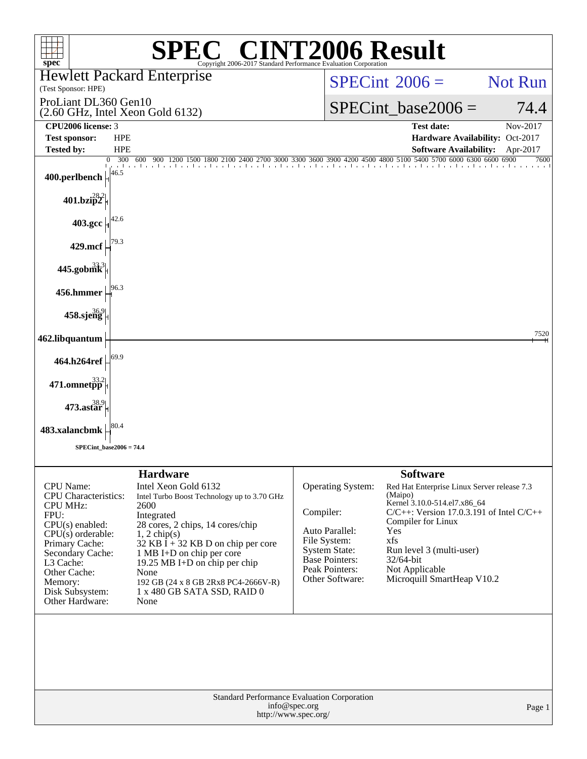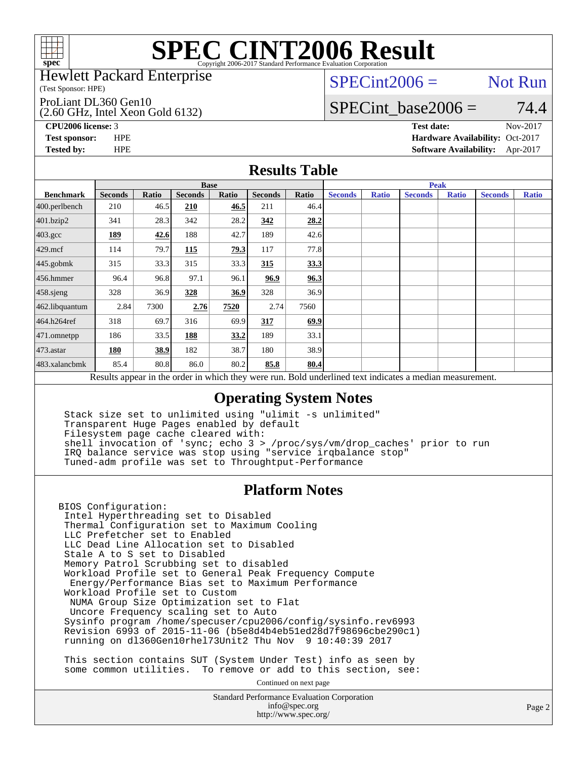

#### Hewlett Packard Enterprise

(Test Sponsor: HPE)

#### ProLiant DL360 Gen10

(2.60 GHz, Intel Xeon Gold 6132)

 $SPECint2006 =$  Not Run

### SPECint base2006 =  $74.4$

**[CPU2006 license:](http://www.spec.org/auto/cpu2006/Docs/result-fields.html#CPU2006license)** 3 **[Test date:](http://www.spec.org/auto/cpu2006/Docs/result-fields.html#Testdate)** Nov-2017 **[Test sponsor:](http://www.spec.org/auto/cpu2006/Docs/result-fields.html#Testsponsor)** HPE **[Hardware Availability:](http://www.spec.org/auto/cpu2006/Docs/result-fields.html#HardwareAvailability)** Oct-2017 **[Tested by:](http://www.spec.org/auto/cpu2006/Docs/result-fields.html#Testedby)** HPE **[Software Availability:](http://www.spec.org/auto/cpu2006/Docs/result-fields.html#SoftwareAvailability)** Apr-2017

### **[Results Table](http://www.spec.org/auto/cpu2006/Docs/result-fields.html#ResultsTable)**

|                                                                                                          | <b>Base</b>    |              |                |       |                |       | <b>Peak</b>    |              |                |              |                |              |
|----------------------------------------------------------------------------------------------------------|----------------|--------------|----------------|-------|----------------|-------|----------------|--------------|----------------|--------------|----------------|--------------|
| <b>Benchmark</b>                                                                                         | <b>Seconds</b> | <b>Ratio</b> | <b>Seconds</b> | Ratio | <b>Seconds</b> | Ratio | <b>Seconds</b> | <b>Ratio</b> | <b>Seconds</b> | <b>Ratio</b> | <b>Seconds</b> | <b>Ratio</b> |
| 400.perlbench                                                                                            | 210            | 46.5         | 210            | 46.5  | 211            | 46.4  |                |              |                |              |                |              |
| 401.bzip2                                                                                                | 341            | 28.3         | 342            | 28.2  | 342            | 28.2  |                |              |                |              |                |              |
| $403.\text{gcc}$                                                                                         | 189            | 42.6         | 188            | 42.7  | 189            | 42.6  |                |              |                |              |                |              |
| $429$ .mcf                                                                                               | 114            | 79.7         | 115            | 79.3  | 117            | 77.8  |                |              |                |              |                |              |
| $445$ .gobmk                                                                                             | 315            | 33.3         | 315            | 33.3  | 315            | 33.3  |                |              |                |              |                |              |
| $456.$ hmmer                                                                                             | 96.4           | 96.8         | 97.1           | 96.1  | 96.9           | 96.3  |                |              |                |              |                |              |
| $458$ .sjeng                                                                                             | 328            | 36.9         | 328            | 36.9  | 328            | 36.9  |                |              |                |              |                |              |
| 462.libquantum                                                                                           | 2.84           | 7300         | 2.76           | 7520  | 2.74           | 7560  |                |              |                |              |                |              |
| 464.h264ref                                                                                              | 318            | 69.7         | 316            | 69.9  | 317            | 69.9  |                |              |                |              |                |              |
| 471.omnetpp                                                                                              | 186            | 33.5         | 188            | 33.2  | 189            | 33.1  |                |              |                |              |                |              |
| $473$ . astar                                                                                            | 180            | 38.9         | 182            | 38.7  | 180            | 38.9  |                |              |                |              |                |              |
| 483.xalancbmk                                                                                            | 85.4           | 80.8         | 86.0           | 80.2  | 85.8           | 80.4  |                |              |                |              |                |              |
| Results appear in the order in which they were run. Bold underlined text indicates a median measurement. |                |              |                |       |                |       |                |              |                |              |                |              |

### **[Operating System Notes](http://www.spec.org/auto/cpu2006/Docs/result-fields.html#OperatingSystemNotes)**

 Stack size set to unlimited using "ulimit -s unlimited" Transparent Huge Pages enabled by default Filesystem page cache cleared with: shell invocation of 'sync; echo 3 > /proc/sys/vm/drop\_caches' prior to run IRQ balance service was stop using "service irqbalance stop" Tuned-adm profile was set to Throughtput-Performance

### **[Platform Notes](http://www.spec.org/auto/cpu2006/Docs/result-fields.html#PlatformNotes)**

BIOS Configuration: Intel Hyperthreading set to Disabled Thermal Configuration set to Maximum Cooling LLC Prefetcher set to Enabled LLC Dead Line Allocation set to Disabled Stale A to S set to Disabled Memory Patrol Scrubbing set to disabled Workload Profile set to General Peak Frequency Compute Energy/Performance Bias set to Maximum Performance Workload Profile set to Custom NUMA Group Size Optimization set to Flat Uncore Frequency scaling set to Auto Sysinfo program /home/specuser/cpu2006/config/sysinfo.rev6993 Revision 6993 of 2015-11-06 (b5e8d4b4eb51ed28d7f98696cbe290c1) running on dl360Gen10rhel73Unit2 Thu Nov 9 10:40:39 2017

 This section contains SUT (System Under Test) info as seen by some common utilities. To remove or add to this section, see:

Continued on next page

Standard Performance Evaluation Corporation [info@spec.org](mailto:info@spec.org) <http://www.spec.org/>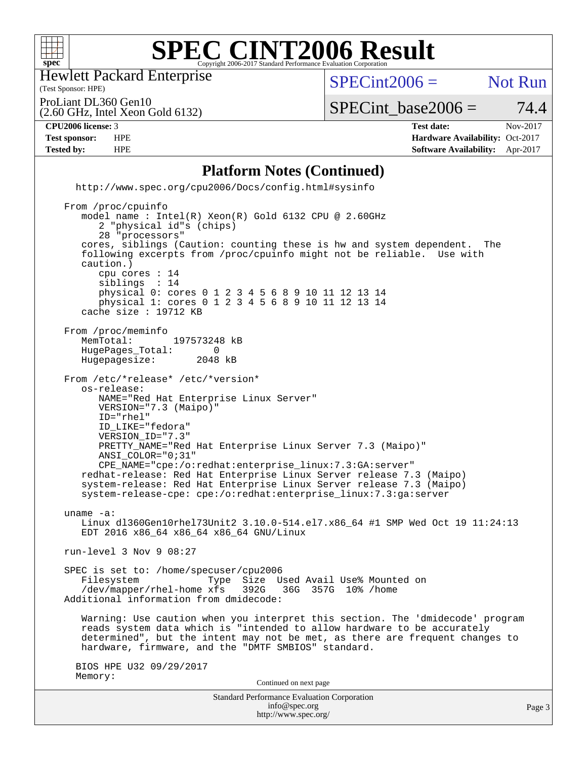

Hewlett Packard Enterprise

(Test Sponsor: HPE)

 $SPECint2006 =$  Not Run

Page 3

(2.60 GHz, Intel Xeon Gold 6132) ProLiant DL360 Gen10

 $SPECTnt\_base2006 = 74.4$ 

**[CPU2006 license:](http://www.spec.org/auto/cpu2006/Docs/result-fields.html#CPU2006license)** 3 **[Test date:](http://www.spec.org/auto/cpu2006/Docs/result-fields.html#Testdate)** Nov-2017 **[Test sponsor:](http://www.spec.org/auto/cpu2006/Docs/result-fields.html#Testsponsor)** HPE **[Hardware Availability:](http://www.spec.org/auto/cpu2006/Docs/result-fields.html#HardwareAvailability)** Oct-2017 **[Tested by:](http://www.spec.org/auto/cpu2006/Docs/result-fields.html#Testedby)** HPE **[Software Availability:](http://www.spec.org/auto/cpu2006/Docs/result-fields.html#SoftwareAvailability)** Apr-2017

Standard Performance Evaluation Corporation [info@spec.org](mailto:info@spec.org) **[Platform Notes \(Continued\)](http://www.spec.org/auto/cpu2006/Docs/result-fields.html#PlatformNotes)** <http://www.spec.org/cpu2006/Docs/config.html#sysinfo> From /proc/cpuinfo model name : Intel(R) Xeon(R) Gold 6132 CPU @ 2.60GHz 2 "physical id"s (chips) 28 "processors" cores, siblings (Caution: counting these is hw and system dependent. The following excerpts from /proc/cpuinfo might not be reliable. Use with caution.) cpu cores : 14 siblings : 14 physical 0: cores 0 1 2 3 4 5 6 8 9 10 11 12 13 14 physical 1: cores 0 1 2 3 4 5 6 8 9 10 11 12 13 14 cache size : 19712 KB From /proc/meminfo<br>MemTotal: 197573248 kB HugePages\_Total: 0<br>Hugepagesize: 2048 kB Hugepagesize: From /etc/\*release\* /etc/\*version\* os-release: NAME="Red Hat Enterprise Linux Server" VERSION="7.3 (Maipo)" ID="rhel" ID\_LIKE="fedora" VERSION\_ID="7.3" PRETTY\_NAME="Red Hat Enterprise Linux Server 7.3 (Maipo)" ANSI\_COLOR="0;31" CPE\_NAME="cpe:/o:redhat:enterprise\_linux:7.3:GA:server" redhat-release: Red Hat Enterprise Linux Server release 7.3 (Maipo) system-release: Red Hat Enterprise Linux Server release 7.3 (Maipo) system-release-cpe: cpe:/o:redhat:enterprise\_linux:7.3:ga:server uname -a: Linux dl360Gen10rhel73Unit2 3.10.0-514.el7.x86\_64 #1 SMP Wed Oct 19 11:24:13 EDT 2016 x86\_64 x86\_64 x86\_64 GNU/Linux run-level 3 Nov 9 08:27 SPEC is set to: /home/specuser/cpu2006<br>Filesystem Type Size U Type Size Used Avail Use% Mounted on<br>xfs 392G 36G 357G 10% /home  $/$ dev/mapper/rhel-home  $xfs$  Additional information from dmidecode: Warning: Use caution when you interpret this section. The 'dmidecode' program reads system data which is "intended to allow hardware to be accurately determined", but the intent may not be met, as there are frequent changes to hardware, firmware, and the "DMTF SMBIOS" standard. BIOS HPE U32 09/29/2017 Memory: Continued on next page

<http://www.spec.org/>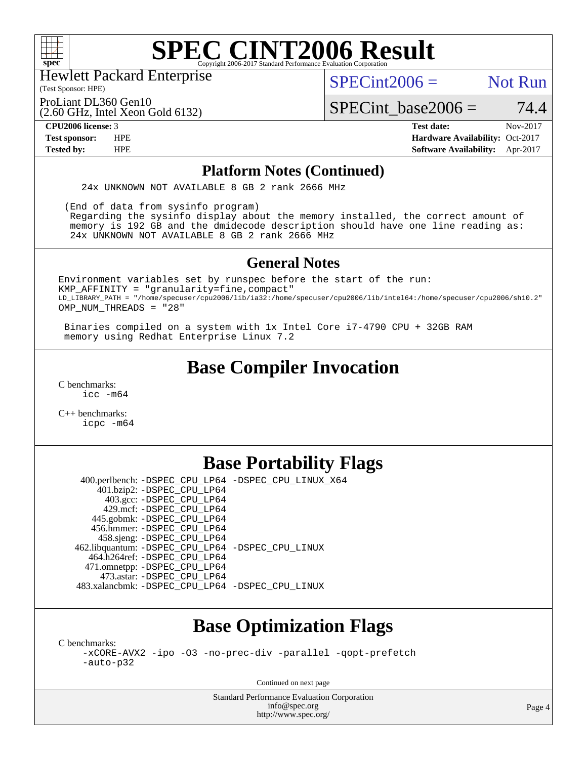

Hewlett Packard Enterprise

(Test Sponsor: HPE)

 $SPECint2006 =$  Not Run

ProLiant DL360 Gen10

(2.60 GHz, Intel Xeon Gold 6132)

**[Tested by:](http://www.spec.org/auto/cpu2006/Docs/result-fields.html#Testedby)** HPE **[Software Availability:](http://www.spec.org/auto/cpu2006/Docs/result-fields.html#SoftwareAvailability)** Apr-2017

 $SPECTnt\_base2006 = 74.4$ **[CPU2006 license:](http://www.spec.org/auto/cpu2006/Docs/result-fields.html#CPU2006license)** 3 **[Test date:](http://www.spec.org/auto/cpu2006/Docs/result-fields.html#Testdate)** Nov-2017 **[Test sponsor:](http://www.spec.org/auto/cpu2006/Docs/result-fields.html#Testsponsor)** HPE **[Hardware Availability:](http://www.spec.org/auto/cpu2006/Docs/result-fields.html#HardwareAvailability)** Oct-2017

#### **[Platform Notes \(Continued\)](http://www.spec.org/auto/cpu2006/Docs/result-fields.html#PlatformNotes)**

24x UNKNOWN NOT AVAILABLE 8 GB 2 rank 2666 MHz

 (End of data from sysinfo program) Regarding the sysinfo display about the memory installed, the correct amount of

 memory is 192 GB and the dmidecode description should have one line reading as: 24x UNKNOWN NOT AVAILABLE 8 GB 2 rank 2666 MHz

### **[General Notes](http://www.spec.org/auto/cpu2006/Docs/result-fields.html#GeneralNotes)**

Environment variables set by runspec before the start of the run: KMP\_AFFINITY = "granularity=fine,compact" LD\_LIBRARY\_PATH = "/home/specuser/cpu2006/lib/ia32:/home/specuser/cpu2006/lib/intel64:/home/specuser/cpu2006/sh10.2" OMP NUM THREADS = "28"

 Binaries compiled on a system with 1x Intel Core i7-4790 CPU + 32GB RAM memory using Redhat Enterprise Linux 7.2

## **[Base Compiler Invocation](http://www.spec.org/auto/cpu2006/Docs/result-fields.html#BaseCompilerInvocation)**

[C benchmarks](http://www.spec.org/auto/cpu2006/Docs/result-fields.html#Cbenchmarks): [icc -m64](http://www.spec.org/cpu2006/results/res2017q4/cpu2006-20171114-50637.flags.html#user_CCbase_intel_icc_64bit_bda6cc9af1fdbb0edc3795bac97ada53)

[C++ benchmarks:](http://www.spec.org/auto/cpu2006/Docs/result-fields.html#CXXbenchmarks) [icpc -m64](http://www.spec.org/cpu2006/results/res2017q4/cpu2006-20171114-50637.flags.html#user_CXXbase_intel_icpc_64bit_fc66a5337ce925472a5c54ad6a0de310)

### **[Base Portability Flags](http://www.spec.org/auto/cpu2006/Docs/result-fields.html#BasePortabilityFlags)**

 400.perlbench: [-DSPEC\\_CPU\\_LP64](http://www.spec.org/cpu2006/results/res2017q4/cpu2006-20171114-50637.flags.html#b400.perlbench_basePORTABILITY_DSPEC_CPU_LP64) [-DSPEC\\_CPU\\_LINUX\\_X64](http://www.spec.org/cpu2006/results/res2017q4/cpu2006-20171114-50637.flags.html#b400.perlbench_baseCPORTABILITY_DSPEC_CPU_LINUX_X64) 401.bzip2: [-DSPEC\\_CPU\\_LP64](http://www.spec.org/cpu2006/results/res2017q4/cpu2006-20171114-50637.flags.html#suite_basePORTABILITY401_bzip2_DSPEC_CPU_LP64) 403.gcc: [-DSPEC\\_CPU\\_LP64](http://www.spec.org/cpu2006/results/res2017q4/cpu2006-20171114-50637.flags.html#suite_basePORTABILITY403_gcc_DSPEC_CPU_LP64) 429.mcf: [-DSPEC\\_CPU\\_LP64](http://www.spec.org/cpu2006/results/res2017q4/cpu2006-20171114-50637.flags.html#suite_basePORTABILITY429_mcf_DSPEC_CPU_LP64) 445.gobmk: [-DSPEC\\_CPU\\_LP64](http://www.spec.org/cpu2006/results/res2017q4/cpu2006-20171114-50637.flags.html#suite_basePORTABILITY445_gobmk_DSPEC_CPU_LP64) 456.hmmer: [-DSPEC\\_CPU\\_LP64](http://www.spec.org/cpu2006/results/res2017q4/cpu2006-20171114-50637.flags.html#suite_basePORTABILITY456_hmmer_DSPEC_CPU_LP64) 458.sjeng: [-DSPEC\\_CPU\\_LP64](http://www.spec.org/cpu2006/results/res2017q4/cpu2006-20171114-50637.flags.html#suite_basePORTABILITY458_sjeng_DSPEC_CPU_LP64) 462.libquantum: [-DSPEC\\_CPU\\_LP64](http://www.spec.org/cpu2006/results/res2017q4/cpu2006-20171114-50637.flags.html#suite_basePORTABILITY462_libquantum_DSPEC_CPU_LP64) [-DSPEC\\_CPU\\_LINUX](http://www.spec.org/cpu2006/results/res2017q4/cpu2006-20171114-50637.flags.html#b462.libquantum_baseCPORTABILITY_DSPEC_CPU_LINUX) 464.h264ref: [-DSPEC\\_CPU\\_LP64](http://www.spec.org/cpu2006/results/res2017q4/cpu2006-20171114-50637.flags.html#suite_basePORTABILITY464_h264ref_DSPEC_CPU_LP64) 471.omnetpp: [-DSPEC\\_CPU\\_LP64](http://www.spec.org/cpu2006/results/res2017q4/cpu2006-20171114-50637.flags.html#suite_basePORTABILITY471_omnetpp_DSPEC_CPU_LP64) 473.astar: [-DSPEC\\_CPU\\_LP64](http://www.spec.org/cpu2006/results/res2017q4/cpu2006-20171114-50637.flags.html#suite_basePORTABILITY473_astar_DSPEC_CPU_LP64) 483.xalancbmk: [-DSPEC\\_CPU\\_LP64](http://www.spec.org/cpu2006/results/res2017q4/cpu2006-20171114-50637.flags.html#suite_basePORTABILITY483_xalancbmk_DSPEC_CPU_LP64) [-DSPEC\\_CPU\\_LINUX](http://www.spec.org/cpu2006/results/res2017q4/cpu2006-20171114-50637.flags.html#b483.xalancbmk_baseCXXPORTABILITY_DSPEC_CPU_LINUX)

# **[Base Optimization Flags](http://www.spec.org/auto/cpu2006/Docs/result-fields.html#BaseOptimizationFlags)**

[C benchmarks](http://www.spec.org/auto/cpu2006/Docs/result-fields.html#Cbenchmarks):

[-xCORE-AVX2](http://www.spec.org/cpu2006/results/res2017q4/cpu2006-20171114-50637.flags.html#user_CCbase_f-xCORE-AVX2) [-ipo](http://www.spec.org/cpu2006/results/res2017q4/cpu2006-20171114-50637.flags.html#user_CCbase_f-ipo) [-O3](http://www.spec.org/cpu2006/results/res2017q4/cpu2006-20171114-50637.flags.html#user_CCbase_f-O3) [-no-prec-div](http://www.spec.org/cpu2006/results/res2017q4/cpu2006-20171114-50637.flags.html#user_CCbase_f-no-prec-div) [-parallel](http://www.spec.org/cpu2006/results/res2017q4/cpu2006-20171114-50637.flags.html#user_CCbase_f-parallel) [-qopt-prefetch](http://www.spec.org/cpu2006/results/res2017q4/cpu2006-20171114-50637.flags.html#user_CCbase_f-qopt-prefetch) [-auto-p32](http://www.spec.org/cpu2006/results/res2017q4/cpu2006-20171114-50637.flags.html#user_CCbase_f-auto-p32)

Continued on next page

Standard Performance Evaluation Corporation [info@spec.org](mailto:info@spec.org) <http://www.spec.org/>

Page 4